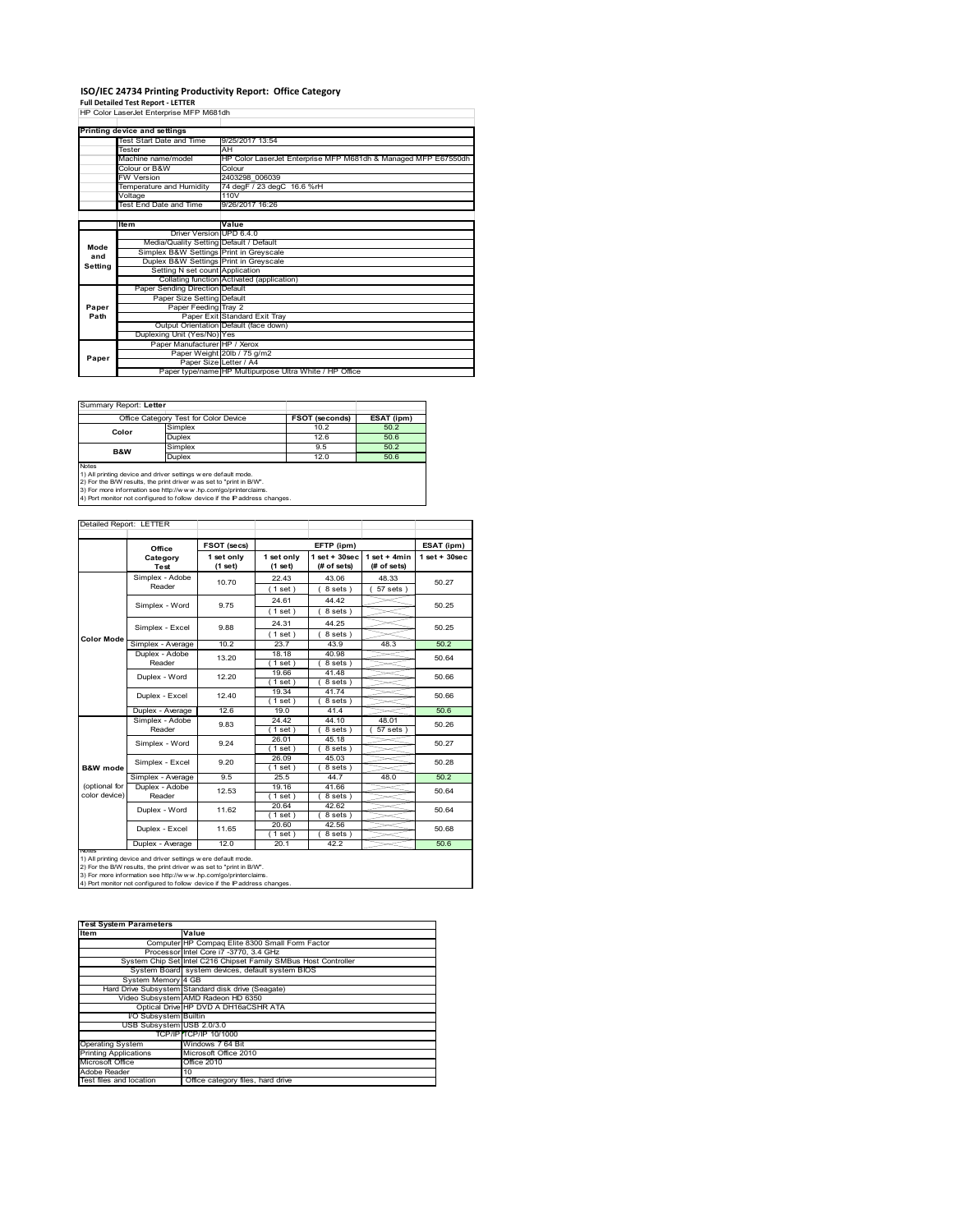# **ISO/IEC 24734 Printing Productivity Report: Office Category**

**Full Detailed Test Report ‐ LETTER** HP Color LaserJet Enterprise MFP M681dh

|         | Printing device and settings            |                                                                |  |  |  |  |
|---------|-----------------------------------------|----------------------------------------------------------------|--|--|--|--|
|         | <b>Test Start Date and Time</b>         | 9/25/2017 13:54                                                |  |  |  |  |
|         | <b>Tester</b>                           | AH                                                             |  |  |  |  |
|         | Machine name/model                      | HP Color LaserJet Enterprise MFP M681dh & Managed MFP E67550dh |  |  |  |  |
|         | Colour or B&W                           | Colour                                                         |  |  |  |  |
|         | <b>FW Version</b>                       | 2403298 006039                                                 |  |  |  |  |
|         | Temperature and Humidity                | 74 degF / 23 degC 16.6 %rH                                     |  |  |  |  |
|         | Voltage                                 | 110V                                                           |  |  |  |  |
|         | <b>Test End Date and Time</b>           | 9/26/2017 16:26                                                |  |  |  |  |
|         |                                         |                                                                |  |  |  |  |
|         | <b>Item</b>                             | Value                                                          |  |  |  |  |
|         | Driver Version UPD 6.4.0                |                                                                |  |  |  |  |
| Mode    | Media/Quality Setting Default / Default |                                                                |  |  |  |  |
| and     | Simplex B&W Settings Print in Greyscale |                                                                |  |  |  |  |
| Setting | Duplex B&W Settings Print in Greyscale  |                                                                |  |  |  |  |
|         | Setting N set count Application         |                                                                |  |  |  |  |
|         |                                         | Collating function Activated (application)                     |  |  |  |  |
|         | Paper Sending Direction Default         |                                                                |  |  |  |  |
|         | Paper Size Setting Default              |                                                                |  |  |  |  |
| Paper   | Paper Feeding Tray 2                    |                                                                |  |  |  |  |
| Path    |                                         | Paper Exit Standard Exit Tray                                  |  |  |  |  |
|         |                                         | Output Orientation Default (face down)                         |  |  |  |  |
|         | Duplexing Unit (Yes/No) Yes             |                                                                |  |  |  |  |
|         | Paper Manufacturer HP / Xerox           |                                                                |  |  |  |  |
| Paper   |                                         | Paper Weight 20lb / 75 g/m2                                    |  |  |  |  |
|         | Paper Size Letter / A4                  |                                                                |  |  |  |  |
|         |                                         | Paper type/name HP Multipurpose Ultra White / HP Office        |  |  |  |  |

|                                                                                                                                               | Office Category Test for Color Device | <b>FSOT (seconds)</b> | ESAT (ipm) |  |  |  |
|-----------------------------------------------------------------------------------------------------------------------------------------------|---------------------------------------|-----------------------|------------|--|--|--|
| Color                                                                                                                                         | Simplex                               | 10.2                  | 50.2       |  |  |  |
|                                                                                                                                               | <b>Duplex</b>                         | 12.6                  | 50.6       |  |  |  |
| <b>B&amp;W</b>                                                                                                                                | Simplex                               | 9.5                   | 50.2       |  |  |  |
|                                                                                                                                               | Duplex                                | 12.0                  | 50.6       |  |  |  |
| Notes<br>1) All printing device and driver settings were default mode.<br>2) For the B/W results, the print driver was set to "print in B/W". |                                       |                       |            |  |  |  |

2) For the B/W results, the print driver w as set to "print in B/W".<br>3) For more information see http://w w w .hp.com/go/printerclaims.<br>4) Port monitor not configured to follow device if the IP address changes.

| Detailed Report: LETTER        |                           |                                              |                       |                                         |                               |                 |
|--------------------------------|---------------------------|----------------------------------------------|-----------------------|-----------------------------------------|-------------------------------|-----------------|
|                                | Office                    | FSOT (secs)                                  |                       | EFTP (ipm)                              |                               | ESAT (ipm)      |
|                                | Category<br>Test          | 1 set only<br>(1 set)                        | 1 set only<br>(1 set) | $1$ set + $30$ sec<br>(# of sets)       | $1$ set + 4min<br>(# of sets) | $1$ set + 30sec |
|                                | Simplex - Adobe<br>Reader | 10.70                                        | 22.43<br>$1$ set)     | 43.06<br>48.33<br>$57$ sets)<br>8 sets) |                               | 50.27           |
|                                | Simplex - Word            | 9.75                                         | 24.61<br>(1 set)      | 44.42<br>8 sets)                        |                               | 50.25           |
|                                | Simplex - Excel           | 9.88                                         | 24.31<br>(1 set)      | 44.25<br>8 sets)                        |                               | 50.25           |
| <b>Color Mode</b>              | Simplex - Average         | 10.2                                         | 23.7                  | 43.9                                    | 48.3                          | 50.2            |
|                                | Duplex - Adobe<br>Reader  | 13.20                                        | 18.18<br>$1$ set)     | 40.98<br>8 sets)                        |                               | 50.64           |
|                                | Duplex - Word             | 12.20                                        | 19.66<br>(1 set)      | 41.48<br>8 sets)                        |                               | 50.66           |
|                                | Duplex - Excel            | 12.40                                        | 19.34<br>(1 set)      | 41.74<br>8 sets)                        |                               | 50.66           |
|                                | Duplex - Average          | 12.6                                         | 19.0                  | 41.4                                    |                               | 50.6            |
|                                | Simplex - Adobe<br>Reader | 9.83                                         | 24.42<br>$1$ set)     | 44.10<br>8 sets)                        | 48.01<br>$57$ sets)           | 50.26           |
|                                | Simplex - Word            | 26.01<br>45.18<br>9.24<br>8 sets)<br>(1 set) |                       |                                         | 50.27                         |                 |
| B&W mode                       | Simplex - Excel           | 9.20                                         | 26.09<br>(1 set)      | 45.03<br>$8 sets$ )                     |                               | 50.28           |
|                                | Simplex - Average         | 9.5                                          | 25.5                  | 44.7                                    | 48.0                          | 50.2            |
| (optional for<br>color device) | Duplex - Adobe<br>Reader  | 12.53                                        | 19.16<br>$1$ set)     | 41.66<br>8 sets)                        |                               | 50.64           |
|                                | Duplex - Word             | 11.62                                        | 20.64<br>$1$ set)     | 42.62<br>8 sets)                        |                               | 50.64           |
|                                | Duplex - Excel            | 11.65                                        | 20.60<br>(1 set)      | 42.56<br>$8 sets$ )                     |                               | 50.68           |
| Notes                          | Duplex - Average          | 12.0                                         | 20.1                  | 42.2                                    |                               | 50.6            |

Notes<br>1) All printing device and driver settings were default mode.<br>2) For the B/W results, the print driver was set to "print in B/W".<br>3) For more information see http://www.hp.com/go/printercialms.<br>4) Por more informati

| <b>Test System Parameters</b> |                                                                 |  |  |  |  |
|-------------------------------|-----------------------------------------------------------------|--|--|--|--|
| Item                          | Value                                                           |  |  |  |  |
|                               | Computer HP Compaq Elite 8300 Small Form Factor                 |  |  |  |  |
|                               | Processor Intel Core i7 -3770, 3.4 GHz                          |  |  |  |  |
|                               | System Chip Set Intel C216 Chipset Family SMBus Host Controller |  |  |  |  |
|                               | System Board system devices, default system BIOS                |  |  |  |  |
| System Memory 4 GB            |                                                                 |  |  |  |  |
|                               | Hard Drive Subsystem Standard disk drive (Seagate)              |  |  |  |  |
|                               | Video Subsystem AMD Radeon HD 6350                              |  |  |  |  |
|                               | Optical Drive HP DVD A DH16aCSHR ATA                            |  |  |  |  |
| <b>VO Subsystem</b> Builtin   |                                                                 |  |  |  |  |
| USB Subsystem USB 2.0/3.0     |                                                                 |  |  |  |  |
|                               | TCP/IP TCP/IP 10/1000                                           |  |  |  |  |
| <b>Operating System</b>       | Windows 7 64 Bit                                                |  |  |  |  |
| <b>Printing Applications</b>  | Microsoft Office 2010                                           |  |  |  |  |
| Microsoft Office              | Office 2010                                                     |  |  |  |  |
| Adobe Reader                  | 10                                                              |  |  |  |  |
| Test files and location       | Office category files, hard drive                               |  |  |  |  |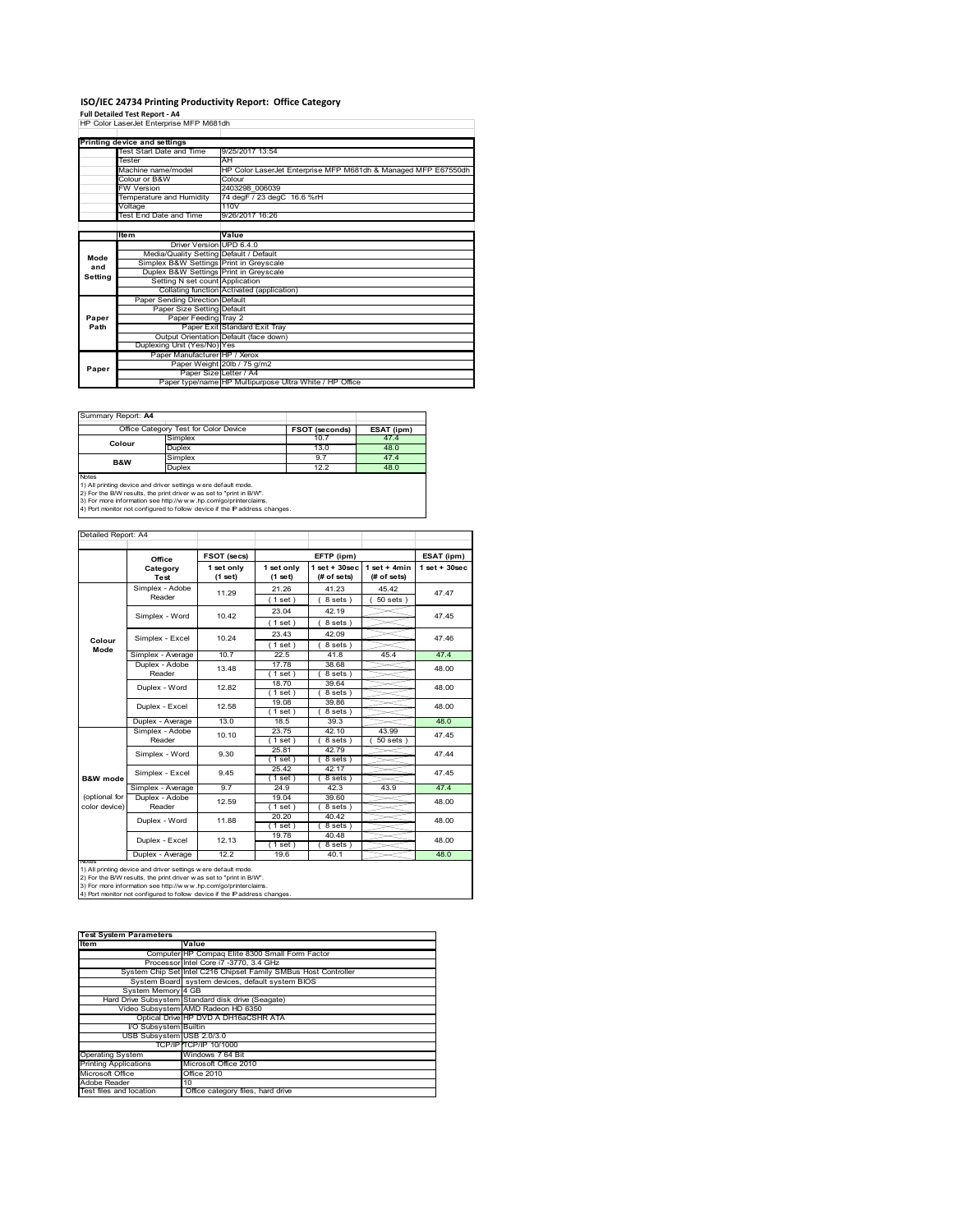# **ISO/IEC 24734 Printing Productivity Report: Office Category Full Detailed Test Report ‐ A4** HP Color LaserJet Enterprise MFP M681dh

|         | HP Color LaserJet Enterprise MFP M681dh |                                                                |
|---------|-----------------------------------------|----------------------------------------------------------------|
|         |                                         |                                                                |
|         | Printing device and settings            |                                                                |
|         | Test Start Date and Time                | 9/25/2017 13:54                                                |
|         | Tester                                  | AH                                                             |
|         | Machine name/model                      | HP Color LaserJet Enterprise MFP M681dh & Managed MFP E67550dh |
|         | Colour or B&W                           | Colour                                                         |
|         | <b>FW Version</b>                       | 2403298 006039                                                 |
|         | Temperature and Humidity                | 74 degF / 23 degC 16.6 %rH                                     |
|         | Voltage                                 | 110V                                                           |
|         | Test End Date and Time                  | 9/26/2017 16:26                                                |
|         |                                         |                                                                |
|         | Item                                    | Value                                                          |
|         | Driver Version UPD 6.4.0                |                                                                |
| Mode    | Media/Quality Setting Default / Default |                                                                |
| and     | Simplex B&W Settings Print in Greyscale |                                                                |
| Setting | Duplex B&W Settings Print in Greyscale  |                                                                |
|         | Setting N set count Application         |                                                                |
|         |                                         | Collating function Activated (application)                     |
|         | Paper Sending Direction Default         |                                                                |
|         | Paper Size Setting Default              |                                                                |
| Paper   | Paper Feeding Tray 2                    |                                                                |
| Path    |                                         | Paper Exit Standard Exit Tray                                  |
|         |                                         | Output Orientation Default (face down)                         |
|         | Duplexing Unit (Yes/No) Yes             |                                                                |
|         | Paper Manufacturer HP / Xerox           |                                                                |
| Paper   |                                         | Paper Weight 20lb / 75 g/m2                                    |
|         | Paper Size Letter / A4                  |                                                                |
|         |                                         | Paper type/name HP Multipurpose Ultra White / HP Office        |

Summary Report: **A4**

| $55$ $100$ $100$ $100$ $100$                                               |                                                                |                       |            |  |  |  |
|----------------------------------------------------------------------------|----------------------------------------------------------------|-----------------------|------------|--|--|--|
|                                                                            | Office Category Test for Color Device                          | <b>FSOT (seconds)</b> | ESAT (ipm) |  |  |  |
| Colour                                                                     | Simplex                                                        | 10.7                  | 47.4       |  |  |  |
|                                                                            | <b>Duplex</b>                                                  | 13.0                  | 48.0       |  |  |  |
| <b>B&amp;W</b>                                                             | Simplex                                                        | 9.7                   | 47.4       |  |  |  |
|                                                                            | <b>Duplex</b>                                                  | 12.2                  | 48.0       |  |  |  |
| Notes                                                                      |                                                                |                       |            |  |  |  |
|                                                                            | 1) All printing device and driver settings w ere default mode. |                       |            |  |  |  |
| 2) For the B/W results, the print driver w as set to "print in B/W".       |                                                                |                       |            |  |  |  |
| 3) For more information see http://www.hp.com/go/printerclaims.            |                                                                |                       |            |  |  |  |
| 4) Port monitor not configured to follow device if the IP address changes. |                                                                |                       |            |  |  |  |

Ē,

|                                | Detailed Report: A4                                                |                       |                       |                                   |                               |                   |
|--------------------------------|--------------------------------------------------------------------|-----------------------|-----------------------|-----------------------------------|-------------------------------|-------------------|
|                                | Office                                                             | FSOT (secs)           | EFTP (ipm)            |                                   |                               | ESAT (ipm)        |
|                                | Category<br>Test                                                   | 1 set only<br>(1 set) | 1 set only<br>(1 set) | $1$ set + $30$ sec<br>(# of sets) | $1$ set + 4min<br>(# of sets) | $1$ set $+30$ sec |
|                                | Simplex - Adobe<br>Reader                                          | 11.29                 | 21.26<br>(1 set)      | 41.23<br>8 sets)                  | 45.42<br>$50$ sets)           | 47.47             |
|                                | Simplex - Word                                                     | 10.42                 | 23.04<br>(1 set)      | 42.19<br>8 sets)                  |                               | 47.45             |
| Colour<br>Mode                 | Simplex - Excel                                                    | 10.24                 | 23.43<br>(1 set)      | 42.09<br>8 sets)                  |                               | 47.46             |
|                                | Simplex - Average                                                  | 10.7                  | 22.5                  | 41.8                              | 45.4                          | 47.4              |
|                                | Duplex - Adobe<br>Reader                                           | 13.48                 | 17.78<br>$1$ set)     | 38.68<br>8 sets)                  |                               | 48.00             |
|                                | 18.70<br>39.64<br>Duplex - Word<br>12.82<br>$1$ set $)$<br>8 sets) |                       |                       | 48.00                             |                               |                   |
|                                | Duplex - Excel                                                     | 12.58                 | 19.08<br>$1$ set)     | 39.86<br>8 sets)                  |                               | 48.00             |
|                                | Duplex - Average                                                   | 13.0                  | 18.5                  | 39.3                              |                               | 48.0              |
|                                | Simplex - Adobe<br>Reader                                          | 10.10                 | 23.75<br>(1 set)      | 42.10<br>8 sets)                  | 43.99<br>$50$ sets)           | 47.45             |
|                                | Simplex - Word                                                     | 9.30                  | 25.81<br>(1 set)      | 42.79<br>8 sets)                  |                               | 47.44             |
| B&W mode                       | Simplex - Excel                                                    | 9.45                  | 25.42<br>$1$ set)     | 42.17<br>8 sets)                  |                               | 47.45             |
|                                | Simplex - Average                                                  | 9.7                   | 24.9                  | 42.3                              | 43.9                          | 47.4              |
| (optional for<br>color device) | Duplex - Adobe<br>Reader                                           | 12.59                 | 19.04<br>$1$ set)     | 39.60<br>8 sets)                  |                               | 48.00             |
|                                | Duplex - Word                                                      | 11.88                 | 20.20<br>(1 set)      | 40.42<br>$8 sets$ )               |                               | 48.00             |
|                                | Duplex - Excel                                                     | 12.13                 | 19.78<br>(1 set)      | 40.48<br>8 sets)                  |                               | 48.00             |
|                                | Duplex - Average                                                   | 12.2                  | 19.6                  | 40.1                              |                               | 48.0              |

nous<br>2) For the B/W results, the print driver settings were default mode.<br>2) For the B/W results, the print driver was set to "print in B/W".<br>3) For more information see http://www.hp.com/go/printerclaims.<br>4) Por monitor n

| <b>Test System Parameters</b> |                                                                 |  |  |  |  |
|-------------------------------|-----------------------------------------------------------------|--|--|--|--|
| Item                          | Value                                                           |  |  |  |  |
|                               | Computer HP Compag Elite 8300 Small Form Factor                 |  |  |  |  |
|                               | Processor Intel Core i7 -3770, 3.4 GHz                          |  |  |  |  |
|                               | System Chip Set Intel C216 Chipset Family SMBus Host Controller |  |  |  |  |
|                               | System Board system devices, default system BIOS                |  |  |  |  |
| System Memory 4 GB            |                                                                 |  |  |  |  |
|                               | Hard Drive Subsystem Standard disk drive (Seagate)              |  |  |  |  |
|                               | Video Subsystem AMD Radeon HD 6350                              |  |  |  |  |
|                               | Optical Drive HP DVD A DH16aCSHR ATA                            |  |  |  |  |
| I/O Subsystem Builtin         |                                                                 |  |  |  |  |
| USB Subsystem USB 2.0/3.0     |                                                                 |  |  |  |  |
|                               | TCP/IPITCP/IP 10/1000                                           |  |  |  |  |
| <b>Operating System</b>       | Windows 7 64 Bit                                                |  |  |  |  |
| <b>Printing Applications</b>  | Microsoft Office 2010                                           |  |  |  |  |
| Microsoft Office              | Office 2010                                                     |  |  |  |  |
| Adobe Reader                  | 10                                                              |  |  |  |  |
| Test files and location       | Office category files, hard drive                               |  |  |  |  |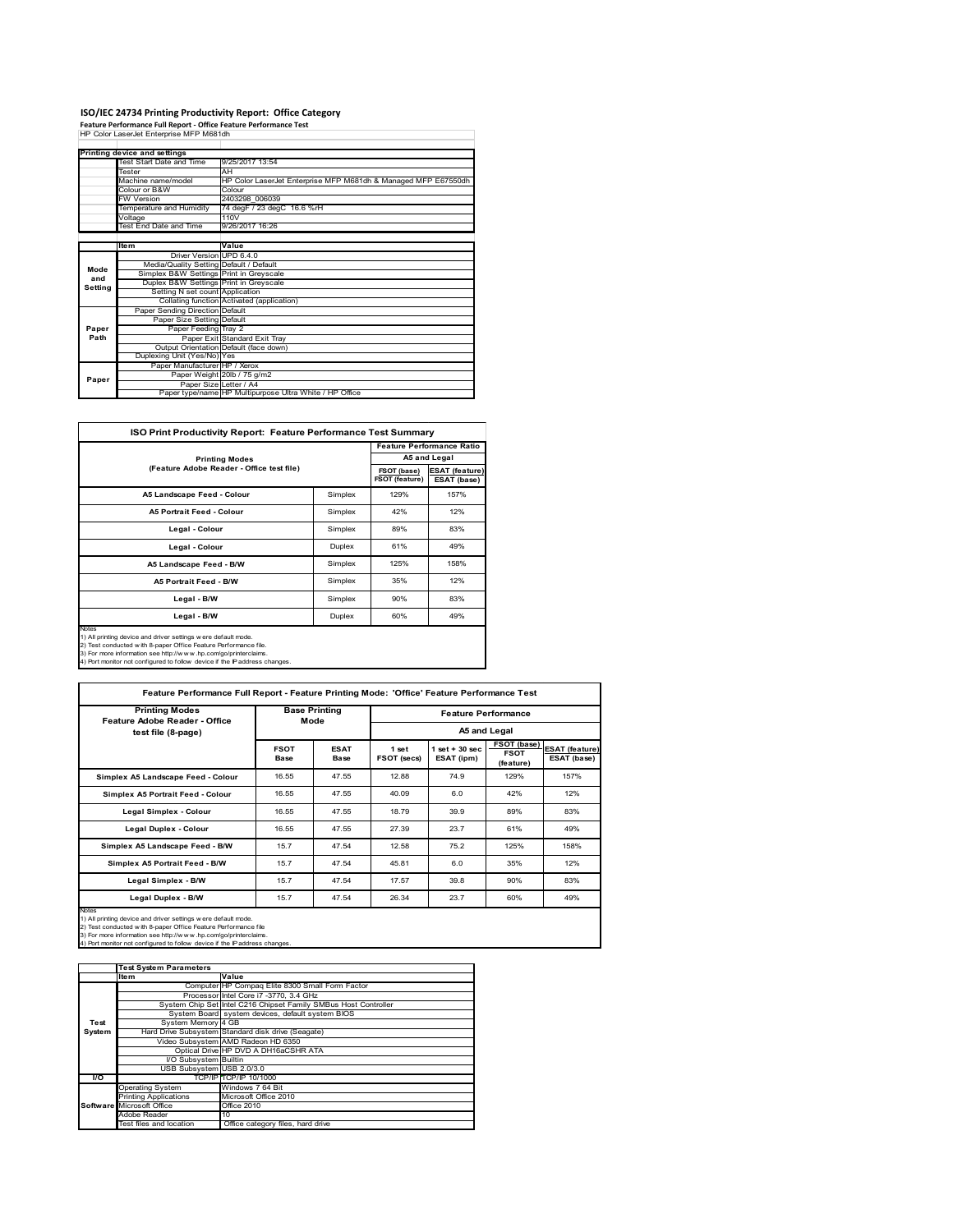# **ISO/IEC 24734 Printing Productivity Report: Office Category Feature Performance Full Report ‐ Office Feature Performance Test** HP Color LaserJet Enterprise MFP M681dh

|         | Printing device and settings            |                                                                |
|---------|-----------------------------------------|----------------------------------------------------------------|
|         | Test Start Date and Time                | 9/25/2017 13:54                                                |
|         | Tester                                  | AH                                                             |
|         | Machine name/model                      | HP Color LaserJet Enterprise MFP M681dh & Managed MFP E67550dh |
|         | Colour or B&W                           | Colour                                                         |
|         | <b>FW Version</b>                       | 2403298 006039                                                 |
|         | Temperature and Humidity                | 74 degF / 23 degC 16.6 %rH                                     |
|         | Voltage                                 | 110V                                                           |
|         | Test End Date and Time                  | 9/26/2017 16:26                                                |
|         |                                         |                                                                |
|         | ltem                                    | Value                                                          |
|         | Driver Version UPD 6.4.0                |                                                                |
| Mode    | Media/Quality Setting Default / Default |                                                                |
| and     | Simplex B&W Settings Print in Greyscale |                                                                |
| Setting | Duplex B&W Settings Print in Greyscale  |                                                                |
|         | Setting N set count Application         |                                                                |
|         |                                         | Collating function Activated (application)                     |
|         | Paper Sending Direction Default         |                                                                |
|         | Paper Size Setting Default              |                                                                |
| Paper   | Paper Feeding Tray 2                    |                                                                |
| Path    |                                         | Paper Exit Standard Exit Tray                                  |
|         |                                         | Output Orientation Default (face down)                         |
|         | Duplexing Unit (Yes/No) Yes             |                                                                |
|         | Paper Manufacturer HP / Xerox           |                                                                |
| Paper   |                                         | Paper Weight 20lb / 75 g/m2                                    |
|         |                                         | Paper Size Letter / A4                                         |
|         |                                         | Paper type/name HP Multipurpose Ultra White / HP Office        |

| <b>ISO Print Productivity Report: Feature Performance Test Summary</b>                                                                                                                                                                                                                      |                               |                                      |                                  |  |  |
|---------------------------------------------------------------------------------------------------------------------------------------------------------------------------------------------------------------------------------------------------------------------------------------------|-------------------------------|--------------------------------------|----------------------------------|--|--|
|                                                                                                                                                                                                                                                                                             |                               |                                      | <b>Feature Performance Ratio</b> |  |  |
| <b>Printing Modes</b>                                                                                                                                                                                                                                                                       |                               |                                      | A5 and Legal                     |  |  |
| (Feature Adobe Reader - Office test file)                                                                                                                                                                                                                                                   | FSOT (base)<br>FSOT (feature) | <b>ESAT (feature)</b><br>ESAT (base) |                                  |  |  |
| A5 Landscape Feed - Colour                                                                                                                                                                                                                                                                  | Simplex                       | 129%                                 | 157%                             |  |  |
| <b>A5 Portrait Feed - Colour</b>                                                                                                                                                                                                                                                            | Simplex                       | 42%                                  | 12%                              |  |  |
| Legal - Colour                                                                                                                                                                                                                                                                              | Simplex                       | 89%                                  | 83%                              |  |  |
| Legal - Colour                                                                                                                                                                                                                                                                              | Duplex                        | 61%                                  | 49%                              |  |  |
| A5 Landscape Feed - B/W                                                                                                                                                                                                                                                                     | Simplex                       | 125%                                 | 158%                             |  |  |
| <b>A5 Portrait Feed - B/W</b>                                                                                                                                                                                                                                                               | Simplex                       | 35%                                  | 12%                              |  |  |
| Legal - B/W                                                                                                                                                                                                                                                                                 | Simplex                       | 90%                                  | 83%                              |  |  |
| 60%<br>49%<br>Duplex<br>Legal - B/W                                                                                                                                                                                                                                                         |                               |                                      |                                  |  |  |
| Notes<br>1) All printing device and driver settings w ere default mode.<br>2) Test conducted with 8-paper Office Feature Performance file.<br>3) For more information see http://www.hp.com/go/printerclaims.<br>4) Port monitor not configured to follow device if the IP address changes. |                               |                                      |                                  |  |  |

| Feature Performance Full Report - Feature Printing Mode: 'Office' Feature Performance Test                                                                                                                                                                                                |                     |                              |                      |                                 |                                         |                                      |  |
|-------------------------------------------------------------------------------------------------------------------------------------------------------------------------------------------------------------------------------------------------------------------------------------------|---------------------|------------------------------|----------------------|---------------------------------|-----------------------------------------|--------------------------------------|--|
| <b>Printing Modes</b><br>Feature Adobe Reader - Office                                                                                                                                                                                                                                    |                     | <b>Base Printing</b><br>Mode |                      | <b>Feature Performance</b>      |                                         |                                      |  |
| test file (8-page)                                                                                                                                                                                                                                                                        |                     |                              | A5 and Legal         |                                 |                                         |                                      |  |
|                                                                                                                                                                                                                                                                                           | <b>FSOT</b><br>Base | <b>ESAT</b><br>Base          | 1 set<br>FSOT (secs) | $1$ set $+30$ sec<br>ESAT (ipm) | FSOT (base)<br><b>FSOT</b><br>(feature) | <b>ESAT</b> (feature)<br>ESAT (base) |  |
| Simplex A5 Landscape Feed - Colour                                                                                                                                                                                                                                                        | 16.55               | 47.55                        | 12.88                | 74.9                            | 129%                                    | 157%                                 |  |
| Simplex A5 Portrait Feed - Colour                                                                                                                                                                                                                                                         | 16.55               | 47.55                        | 40.09                | 6.0                             | 42%                                     | 12%                                  |  |
| Legal Simplex - Colour                                                                                                                                                                                                                                                                    | 16.55               | 47.55                        | 18.79                | 39.9                            | 89%                                     | 83%                                  |  |
| <b>Legal Duplex - Colour</b>                                                                                                                                                                                                                                                              | 16.55               | 47.55                        | 27.39                | 23.7                            | 61%                                     | 49%                                  |  |
| Simplex A5 Landscape Feed - B/W                                                                                                                                                                                                                                                           | 15.7                | 47.54                        | 12.58                | 75.2                            | 125%                                    | 158%                                 |  |
| Simplex A5 Portrait Feed - B/W                                                                                                                                                                                                                                                            | 15.7                | 47.54                        | 45.81                | 6.0                             | 35%                                     | 12%                                  |  |
| Legal Simplex - B/W                                                                                                                                                                                                                                                                       | 15.7                | 47.54                        | 17.57                | 39.8                            | 90%                                     | 83%                                  |  |
| Legal Duplex - B/W                                                                                                                                                                                                                                                                        | 15.7                | 47.54                        | 26.34                | 23.7                            | 60%                                     | 49%                                  |  |
| Notes<br>1) All printing device and driver settings were default mode.<br>2) Test conducted with 8-paper Office Feature Performance file<br>3) For more information see http://www.hp.com/go/printerclaims.<br>4) Port monitor not configured to follow device if the IP address changes. |                     |                              |                      |                                 |                                         |                                      |  |

|        | <b>Test System Parameters</b> |                                                                 |  |  |  |  |
|--------|-------------------------------|-----------------------------------------------------------------|--|--|--|--|
|        | Item                          | Value                                                           |  |  |  |  |
|        |                               | Computer HP Compaq Elite 8300 Small Form Factor                 |  |  |  |  |
|        |                               | Processor Intel Core i7 -3770, 3.4 GHz                          |  |  |  |  |
|        |                               | System Chip Set Intel C216 Chipset Family SMBus Host Controller |  |  |  |  |
|        |                               | System Board system devices, default system BIOS                |  |  |  |  |
| Test   | System Memory 4 GB            |                                                                 |  |  |  |  |
| System |                               | Hard Drive Subsystem Standard disk drive (Seagate)              |  |  |  |  |
|        |                               | Video Subsystem AMD Radeon HD 6350                              |  |  |  |  |
|        |                               | Optical Drive HP DVD A DH16aCSHR ATA                            |  |  |  |  |
|        | <b>VO Subsystem Builtin</b>   |                                                                 |  |  |  |  |
|        | USB Subsystem USB 2.0/3.0     |                                                                 |  |  |  |  |
| l/O    |                               | TCP/IP TCP/IP 10/1000                                           |  |  |  |  |
|        | <b>Operating System</b>       | Windows 7 64 Bit                                                |  |  |  |  |
|        | <b>Printing Applications</b>  | Microsoft Office 2010                                           |  |  |  |  |
|        | Software Microsoft Office     | Office 2010                                                     |  |  |  |  |
|        | Adobe Reader                  | 10                                                              |  |  |  |  |
|        | Test files and location       | Office category files, hard drive                               |  |  |  |  |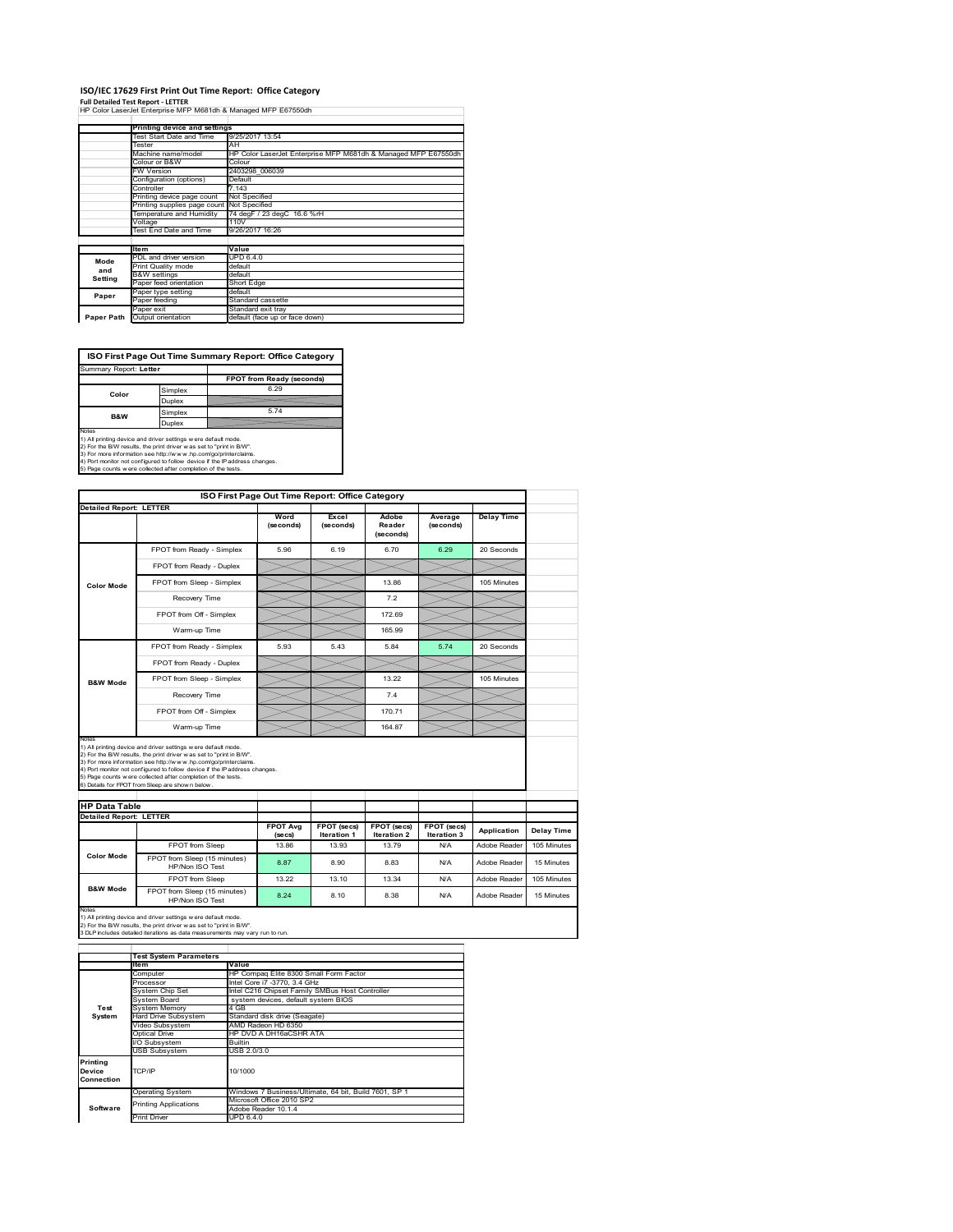## **ISO/IEC 17629 First Print Out Time Report: Office Category**

**Full Detailed Test Report ‐ LETTER** HP Color LaserJet Enterprise MFP M681dh & Managed MFP E67550dh

|            | Printing device and settings |                                                                |
|------------|------------------------------|----------------------------------------------------------------|
|            | Test Start Date and Time     | 9/25/2017 13:54                                                |
|            | Tester                       | AH                                                             |
|            | Machine name/model           | HP Color LaserJet Enterprise MFP M681dh & Managed MFP E67550dh |
|            | Colour or B&W                | Colour                                                         |
|            | <b>FW Version</b>            | 2403298 006039                                                 |
|            | Configuration (options)      | Default                                                        |
|            | Controller                   | 7.143                                                          |
|            | Printing device page count   | Not Specified                                                  |
|            | Printing supplies page count | Not Specified                                                  |
|            | Temperature and Humidity     | 74 deaF / 23 deaC 16.6 %rH                                     |
|            | Voltage                      | 110V                                                           |
|            | Test End Date and Time       | 9/26/2017 16:26                                                |
|            |                              |                                                                |
|            | <b>Item</b>                  | Value                                                          |
| Mode       | PDL and driver version       | <b>UPD 6.4.0</b>                                               |
| and        | Print Quality mode           | default                                                        |
| Setting    | <b>B&amp;W</b> settings      | default                                                        |
|            | Paper feed orientation       | Short Edge                                                     |
| Paper      | Paper type setting           | default                                                        |
|            | Paper feeding                | Standard cassette                                              |
|            | Paper exit                   | Standard exit tray                                             |
| Paper Path | Output orientation           | default (face up or face down)                                 |

**ISO First Page Out Time Summary Report: Office Category**

| <b>FPOT from Ready (seconds)</b>                                                                                                                                                                                                                                                                                                                        |
|---------------------------------------------------------------------------------------------------------------------------------------------------------------------------------------------------------------------------------------------------------------------------------------------------------------------------------------------------------|
| 6.29                                                                                                                                                                                                                                                                                                                                                    |
|                                                                                                                                                                                                                                                                                                                                                         |
| 574                                                                                                                                                                                                                                                                                                                                                     |
|                                                                                                                                                                                                                                                                                                                                                         |
| 1) All printing device and driver settings w ere default mode.<br>2) For the B/W results, the print driver was set to "print in B/W".<br>3) For more information see http://www.hp.com/go/printerclaims.<br>4) Port monitor not configured to follow device if the IP address changes.<br>5) Page counts w ere collected after completion of the tests. |
|                                                                                                                                                                                                                                                                                                                                                         |

|                                                        |                                                                                                                                                                                                                                                                                                                                                                                                             |                   | ISO First Page Out Time Report: Office Category |                                   |                            |              |             |
|--------------------------------------------------------|-------------------------------------------------------------------------------------------------------------------------------------------------------------------------------------------------------------------------------------------------------------------------------------------------------------------------------------------------------------------------------------------------------------|-------------------|-------------------------------------------------|-----------------------------------|----------------------------|--------------|-------------|
| Detailed Report: LETTER                                |                                                                                                                                                                                                                                                                                                                                                                                                             |                   |                                                 |                                   |                            |              |             |
|                                                        |                                                                                                                                                                                                                                                                                                                                                                                                             | Word<br>(seconds) | Excel<br>(seconds)                              | Adobe<br>Reader<br>(seconds)      | Average<br>(seconds)       | Delay Time   |             |
|                                                        | FPOT from Ready - Simplex                                                                                                                                                                                                                                                                                                                                                                                   | 5.96              | 6.19                                            | 6.70                              | 6.29                       | 20 Seconds   |             |
|                                                        | FPOT from Ready - Duplex                                                                                                                                                                                                                                                                                                                                                                                    |                   |                                                 |                                   |                            |              |             |
| <b>Color Mode</b>                                      | FPOT from Sleep - Simplex                                                                                                                                                                                                                                                                                                                                                                                   |                   |                                                 | 13.86                             |                            | 105 Minutes  |             |
|                                                        | Recovery Time                                                                                                                                                                                                                                                                                                                                                                                               |                   |                                                 | 7.2                               |                            |              |             |
|                                                        | FPOT from Off - Simplex                                                                                                                                                                                                                                                                                                                                                                                     |                   |                                                 | 172.69                            |                            |              |             |
|                                                        | Warm-up Time                                                                                                                                                                                                                                                                                                                                                                                                |                   |                                                 | 165.99                            |                            |              |             |
|                                                        | FPOT from Ready - Simplex                                                                                                                                                                                                                                                                                                                                                                                   | 5.93              | 5.43                                            | 5.84                              | 5.74                       | 20 Seconds   |             |
|                                                        | FPOT from Ready - Duplex                                                                                                                                                                                                                                                                                                                                                                                    |                   |                                                 |                                   |                            |              |             |
| <b>B&amp;W Mode</b>                                    | FPOT from Sleep - Simplex                                                                                                                                                                                                                                                                                                                                                                                   |                   |                                                 | 13.22                             |                            | 105 Minutes  |             |
|                                                        | Recovery Time                                                                                                                                                                                                                                                                                                                                                                                               |                   |                                                 | 74                                |                            |              |             |
|                                                        |                                                                                                                                                                                                                                                                                                                                                                                                             |                   |                                                 |                                   |                            |              |             |
|                                                        | FPOT from Off - Simplex                                                                                                                                                                                                                                                                                                                                                                                     |                   |                                                 | 170.71                            |                            |              |             |
| Notes                                                  | Warm-up Time                                                                                                                                                                                                                                                                                                                                                                                                |                   |                                                 | 164.87                            |                            |              |             |
|                                                        | 1) All printing device and driver settings w ere default mode.<br>2) For the B/W results, the print driver was set to "print in B/W".<br>3) For more information see http://www.hp.com/go/printerclaims.<br>4) Port monitor not configured to follow device if the IP address changes.<br>5) Page counts w ere collected after completion of the tests.<br>6) Details for FPOT from Sleep are show n below. |                   |                                                 |                                   |                            |              |             |
|                                                        |                                                                                                                                                                                                                                                                                                                                                                                                             |                   |                                                 |                                   |                            |              |             |
|                                                        |                                                                                                                                                                                                                                                                                                                                                                                                             | <b>FPOT Avg</b>   | FPOT (secs)<br><b>Iteration 1</b>               | FPOT (secs)<br><b>Iteration 2</b> | FPOT (secs)<br>Iteration 3 | Application  | Delay Time  |
| <b>HP Data Table</b><br><b>Detailed Report: LETTER</b> | FPOT from Sleep                                                                                                                                                                                                                                                                                                                                                                                             | (se cs)<br>13.86  | 13.93                                           | 13.79                             | N/A                        | Adobe Reader | 105 Minutes |
| <b>Color Mode</b>                                      | FPOT from Sleep (15 minutes)<br>HP/Non ISO Test                                                                                                                                                                                                                                                                                                                                                             | 8.87              | 8.90                                            | 8.83                              | N/A                        | Adobe Reader | 15 Minutes  |
|                                                        | FPOT from Sleep                                                                                                                                                                                                                                                                                                                                                                                             | 13.22             | 13 10                                           | 13.34                             | N/A                        | Adobe Reader | 105 Minutes |

|            | <b>Test System Parameters</b> |                                                       |
|------------|-------------------------------|-------------------------------------------------------|
|            | ltem                          | Value                                                 |
|            | Computer                      | HP Compaq Elite 8300 Small Form Factor                |
|            | Processor                     | Intel Core i7 -3770, 3.4 GHz                          |
|            | System Chip Set               | Intel C216 Chipset Family SMBus Host Controller       |
|            | System Board                  | system devices, default system BIOS                   |
| Test       | <b>System Memory</b>          | 4 GB                                                  |
| System     | <b>Hard Drive Subsystem</b>   | Standard disk drive (Seagate)                         |
|            | Video Subsystem               | AMD Radeon HD 6350                                    |
|            | Optical Drive                 | HP DVD A DH16aCSHR ATA                                |
|            | I/O Subsystem                 | <b>Builtin</b>                                        |
|            | <b>USB Subsystem</b>          | USB 2.0/3.0                                           |
| Printing   |                               |                                                       |
| Device     | TCP/IP                        | 10/1000                                               |
| Connection |                               |                                                       |
|            | <b>Operating System</b>       | Windows 7 Business/Ultimate, 64 bit, Build 7601, SP 1 |
|            |                               | Microsoft Office 2010 SP2                             |
| Software   | <b>Printing Applications</b>  | Adobe Reader 10.1.4                                   |
|            | <b>Print Driver</b>           | UPD 6.4.0                                             |
|            |                               |                                                       |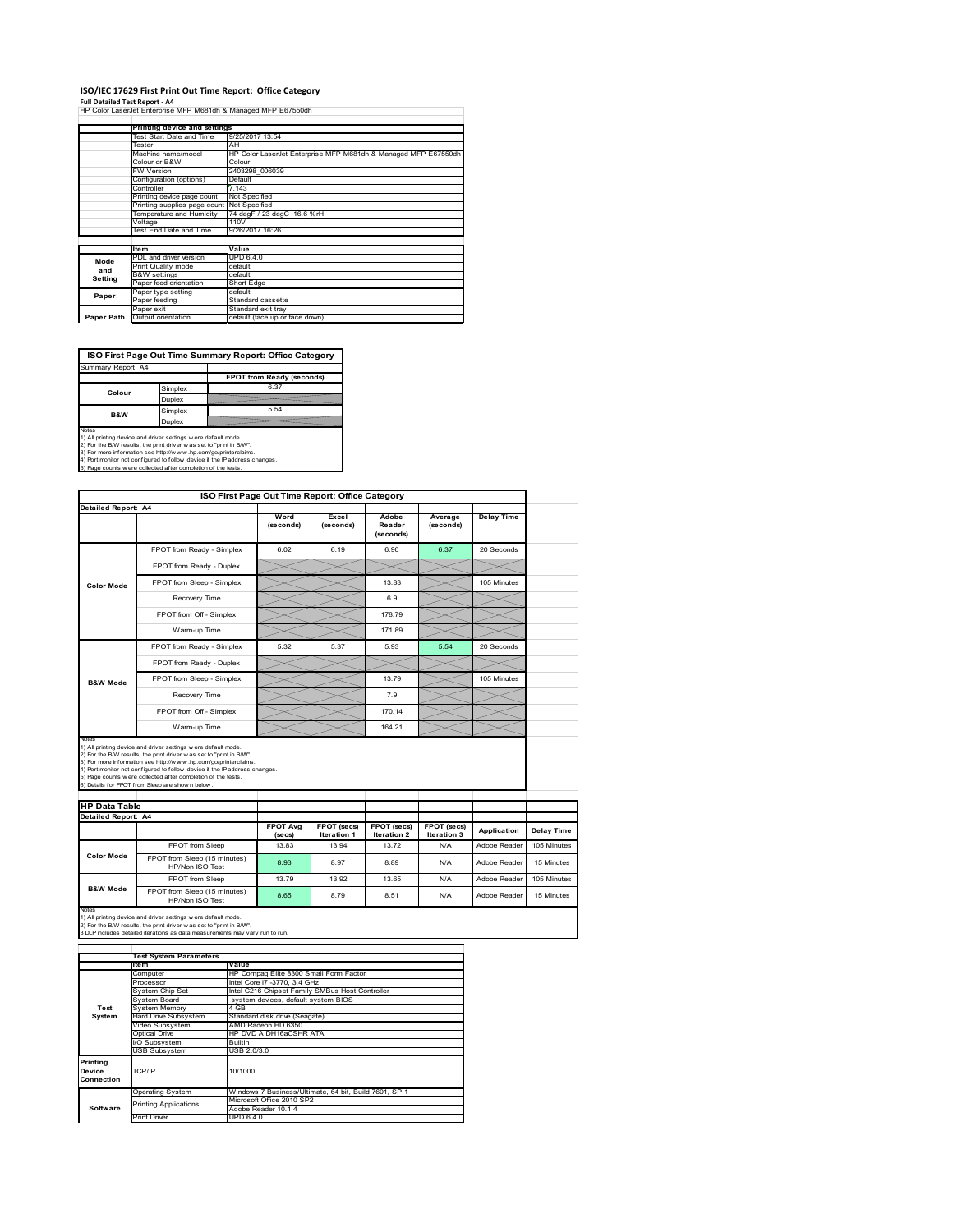## **ISO/IEC 17629 First Print Out Time Report: Office Category**

**Full Detailed Test Report ‐ A4** HP Color LaserJet Enterprise MFP M681dh & Managed MFP E67550dh

| Printing device and settings               |                                                                             |
|--------------------------------------------|-----------------------------------------------------------------------------|
| Test Start Date and Time                   | 9/25/2017 13:54                                                             |
| Tester                                     | AH                                                                          |
| Machine name/model                         | HP Color LaserJet Enterprise MFP M681dh & Managed MFP E67550dh              |
| Colour or B&W                              | Colour                                                                      |
| <b>FW Version</b>                          | 2403298 006039                                                              |
| Configuration (options)                    | Default                                                                     |
| Controller                                 | 7.143                                                                       |
| Printing device page count                 | Not Specified                                                               |
| Printing supplies page count Not Specified |                                                                             |
| Temperature and Humidity                   | 74 degF / 23 degC 16.6 %rH                                                  |
| Voltage                                    | 110V                                                                        |
|                                            | 9/26/2017 16:26                                                             |
|                                            |                                                                             |
| <b>Item</b>                                | Value                                                                       |
| PDL and driver version                     | <b>UPD 6.4.0</b>                                                            |
| Print Quality mode                         | default                                                                     |
|                                            | default                                                                     |
|                                            | Short Edge                                                                  |
| Paper type setting                         | default                                                                     |
| Paper feeding                              | Standard cassette                                                           |
| Paper exit                                 | Standard exit tray                                                          |
| Output orientation                         | default (face up or face down)                                              |
|                                            | Test End Date and Time<br><b>B&amp;W</b> settings<br>Paper feed orientation |

**ISO First Page Out Time Summary Report: Office Category** Summary Report: A4

| Summary Report: A4 |         |                           |
|--------------------|---------|---------------------------|
|                    |         | FPOT from Ready (seconds) |
| Colour             | Simplex | 6.37                      |
|                    | Duplex  |                           |
| <b>B&amp;W</b>     | Simplex | 5.54                      |
|                    | Duplex  |                           |
| $k = 1 - 1$        |         |                           |

Notes<br>1) All printing device and driver settings were default mode.<br>2) For the BAV results, the print driver was set to "print in BAV".<br>3) For more information see http://www.hp.com/golprinterclaims.<br>4) Port monitor not co

|                      | ISO First Page Out Time Report: Office Category                                                                                                                                                                                                                                                                                                                                                             |                            |                                   |                                          |                                   |                   |                                                        |
|----------------------|-------------------------------------------------------------------------------------------------------------------------------------------------------------------------------------------------------------------------------------------------------------------------------------------------------------------------------------------------------------------------------------------------------------|----------------------------|-----------------------------------|------------------------------------------|-----------------------------------|-------------------|--------------------------------------------------------|
| Detailed Report: A4  |                                                                                                                                                                                                                                                                                                                                                                                                             | Word                       | Excel                             |                                          |                                   |                   |                                                        |
|                      |                                                                                                                                                                                                                                                                                                                                                                                                             | (seconds)                  | (seconds)                         | Adobe<br>Reader<br>(seconds)             | Average<br>(seconds)              | <b>Delay Time</b> |                                                        |
|                      | FPOT from Ready - Simplex                                                                                                                                                                                                                                                                                                                                                                                   | 6.02                       | 6.19                              | 6.90                                     | 6.37                              | 20 Seconds        |                                                        |
|                      | FPOT from Ready - Duplex                                                                                                                                                                                                                                                                                                                                                                                    |                            |                                   |                                          |                                   |                   |                                                        |
| <b>Color Mode</b>    | FPOT from Sleep - Simplex                                                                                                                                                                                                                                                                                                                                                                                   |                            |                                   | 13.83                                    |                                   | 105 Minutes       |                                                        |
|                      | Recovery Time                                                                                                                                                                                                                                                                                                                                                                                               |                            |                                   | 6.9                                      |                                   |                   |                                                        |
|                      | FPOT from Off - Simplex                                                                                                                                                                                                                                                                                                                                                                                     |                            |                                   | 178.79                                   |                                   |                   |                                                        |
|                      | Warm-up Time                                                                                                                                                                                                                                                                                                                                                                                                |                            |                                   | 171.89                                   |                                   |                   |                                                        |
|                      | FPOT from Ready - Simplex                                                                                                                                                                                                                                                                                                                                                                                   | 5.32                       | 5.37                              | 5.93                                     | 5.54                              | 20 Seconds        |                                                        |
|                      | FPOT from Ready - Duplex                                                                                                                                                                                                                                                                                                                                                                                    |                            |                                   |                                          |                                   |                   |                                                        |
| <b>B&amp;W Mode</b>  | FPOT from Sleep - Simplex                                                                                                                                                                                                                                                                                                                                                                                   |                            |                                   | 13.79                                    |                                   | 105 Minutes       |                                                        |
|                      | Recovery Time                                                                                                                                                                                                                                                                                                                                                                                               |                            |                                   | 7.9                                      |                                   |                   |                                                        |
|                      | FPOT from Off - Simplex                                                                                                                                                                                                                                                                                                                                                                                     |                            |                                   | 170.14                                   |                                   |                   |                                                        |
|                      | Warm-up Time                                                                                                                                                                                                                                                                                                                                                                                                |                            |                                   | 164.21                                   |                                   |                   |                                                        |
| Notes                | 1) All printing device and driver settings w ere default mode.<br>2) For the B/W results, the print driver was set to "print in B/W".<br>3) For more information see http://www.hp.com/go/printerclaims.<br>4) Port monitor not configured to follow device if the IP address changes.<br>5) Page counts w ere collected after completion of the tests.<br>6) Details for FPOT from Sleep are show n below. |                            |                                   |                                          |                                   |                   |                                                        |
|                      |                                                                                                                                                                                                                                                                                                                                                                                                             |                            |                                   |                                          |                                   |                   |                                                        |
| <b>HP Data Table</b> |                                                                                                                                                                                                                                                                                                                                                                                                             |                            |                                   |                                          |                                   |                   |                                                        |
| Detailed Report: A4  |                                                                                                                                                                                                                                                                                                                                                                                                             |                            |                                   |                                          |                                   |                   |                                                        |
|                      |                                                                                                                                                                                                                                                                                                                                                                                                             | <b>FPOT Avg</b><br>(se cs) | FPOT (secs)<br><b>Iteration 1</b> | <b>FPOT</b> (secs)<br><b>Iteration 2</b> | FPOT (secs)<br><b>Iteration 3</b> | Application       |                                                        |
|                      | FPOT from Sleep                                                                                                                                                                                                                                                                                                                                                                                             | 13.83                      | 13.94                             | 13.72                                    | N/A                               | Adobe Reader      |                                                        |
| <b>Color Mode</b>    | FPOT from Sleep (15 minutes)<br>HP/Non ISO Test                                                                                                                                                                                                                                                                                                                                                             | 8.93                       | 8.97                              | 8.89                                     | N/A                               | Adobe Reader      |                                                        |
|                      | FPOT from Sleep                                                                                                                                                                                                                                                                                                                                                                                             | 13.79                      | 13.92                             | 13.65                                    | N/A                               | Adobe Reader      | Delay Time<br>105 Minutes<br>15 Minutes<br>105 Minutes |

1) All printing device and driver settings w ere default mode.<br>2) For the B/W results, the print driver w as set to "print in B/W".<br>3 DLP includes detailed iterations as data measurements may vary run to run.

|            | <b>Test System Parameters</b>                         |                                                       |  |  |  |
|------------|-------------------------------------------------------|-------------------------------------------------------|--|--|--|
|            | ltem                                                  | Value                                                 |  |  |  |
|            | Computer                                              | HP Compaq Elite 8300 Small Form Factor                |  |  |  |
|            | Processor                                             | Intel Core i7 -3770, 3.4 GHz                          |  |  |  |
|            | System Chip Set                                       | Intel C216 Chipset Family SMBus Host Controller       |  |  |  |
|            | System Board                                          | system devices, default system BIOS                   |  |  |  |
| Test       | <b>System Memory</b>                                  | 4 GB                                                  |  |  |  |
| System     | Hard Drive Subsystem<br>Standard disk drive (Seagate) |                                                       |  |  |  |
|            | Video Subsystem                                       | AMD Radeon HD 6350                                    |  |  |  |
|            | <b>Optical Drive</b>                                  | HP DVD A DH16aCSHR ATA                                |  |  |  |
|            | I/O Subsystem                                         | <b>Builtin</b>                                        |  |  |  |
|            | <b>USB Subsystem</b>                                  | USB 2.0/3.0                                           |  |  |  |
| Printing   |                                                       |                                                       |  |  |  |
| Device     | TCP/IP                                                | 10/1000                                               |  |  |  |
| Connection |                                                       |                                                       |  |  |  |
|            | <b>Operating System</b>                               | Windows 7 Business/Ultimate, 64 bit, Build 7601, SP 1 |  |  |  |
|            | <b>Printing Applications</b>                          | Microsoft Office 2010 SP2                             |  |  |  |
| Software   |                                                       | Adobe Reader 10.1.4                                   |  |  |  |
|            | <b>Print Driver</b>                                   | UPD 6.4.0                                             |  |  |  |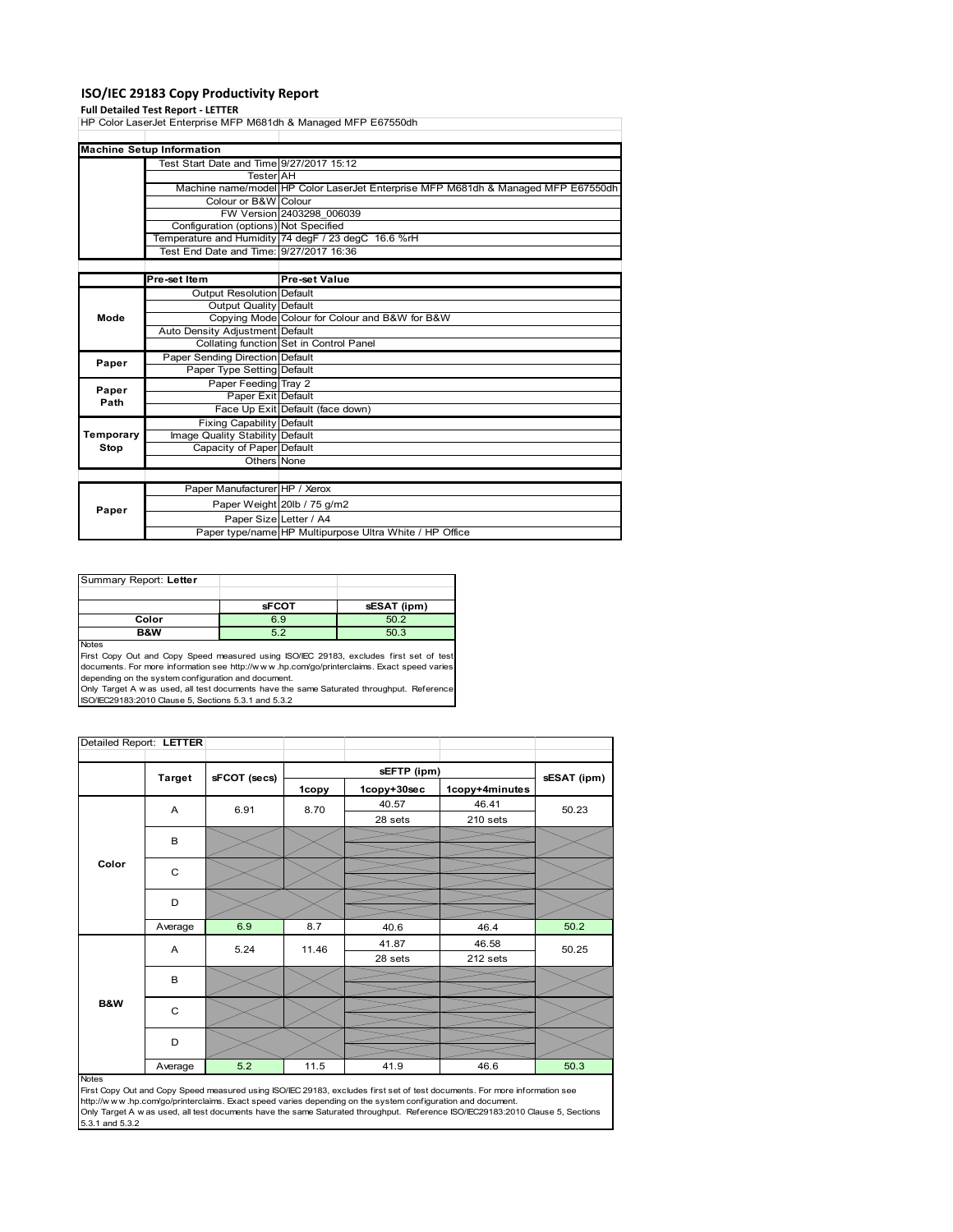## **ISO/IEC 29183 Copy Productivity Report**

**Full Detailed Test Report ‐ LETTER** HP Color LaserJet Enterprise MFP M681dh & Managed MFP E67550dh

|               | <b>Machine Setup Information</b>         |                                                                                   |
|---------------|------------------------------------------|-----------------------------------------------------------------------------------|
|               | Test Start Date and Time 9/27/2017 15:12 |                                                                                   |
|               | <b>Tester</b> AH                         |                                                                                   |
|               |                                          | Machine name/model HP Color LaserJet Enterprise MFP M681dh & Managed MFP E67550dh |
|               | Colour or B&W Colour                     |                                                                                   |
|               |                                          | FW Version 2403298 006039                                                         |
|               | Configuration (options) Not Specified    |                                                                                   |
|               |                                          | Temperature and Humidity 74 degF / 23 degC 16.6 %rH                               |
|               | Test End Date and Time: 9/27/2017 16:36  |                                                                                   |
|               |                                          |                                                                                   |
|               | Pre-set Item                             | Pre-set Value                                                                     |
|               | Output Resolution Default                |                                                                                   |
|               | <b>Output Quality Default</b>            |                                                                                   |
| Mode          |                                          | Copying Mode Colour for Colour and B&W for B&W                                    |
|               | Auto Density Adjustment Default          |                                                                                   |
|               |                                          | Collating function Set in Control Panel                                           |
|               | Paper Sending Direction Default          |                                                                                   |
| Paper         | Paper Type Setting Default               |                                                                                   |
|               | Paper Feeding Tray 2                     |                                                                                   |
| Paper<br>Path | Paper Exit Default                       |                                                                                   |
|               |                                          | Face Up Exit Default (face down)                                                  |
|               | <b>Fixing Capability Default</b>         |                                                                                   |
| Temporary     | Image Quality Stability Default          |                                                                                   |
| Stop          | Capacity of Paper Default                |                                                                                   |
|               | Others None                              |                                                                                   |
|               |                                          |                                                                                   |
|               | Paper Manufacturer HP / Xerox            |                                                                                   |
|               |                                          | Paper Weight 20lb / 75 g/m2                                                       |
| Paper         | Paper Size Letter / A4                   |                                                                                   |
|               |                                          | Paper type/name HP Multipurpose Ultra White / HP Office                           |

| Summary Report: Letter |              |             |
|------------------------|--------------|-------------|
|                        |              |             |
|                        | <b>sFCOT</b> | sESAT (ipm) |
| Color                  | 6.9          | 50.2        |
| B&W                    | 5.2          | 50.3        |
| <b>Noton</b>           |              |             |

Notes<br>First Copy Out and Copy Speed measured using ISO/IEC 29183, excludes first set of test<br>documents. For more information see http://www..hp.com/go/printerclaims. Exact speed varies depending on the system configuration and document.

Only Target A w as used, all test documents have the same Saturated throughput. Reference ISO/IEC29183:2010 Clause 5, Sections 5.3.1 and 5.3.2

| Detailed Report: LETTER |               |              |       |             |                |             |
|-------------------------|---------------|--------------|-------|-------------|----------------|-------------|
|                         |               |              |       | sEFTP (ipm) |                |             |
|                         | <b>Target</b> | sFCOT (secs) | 1copy | 1copy+30sec | 1copy+4minutes | sESAT (ipm) |
|                         | A             | 6.91         | 8.70  | 40.57       | 46.41          | 50.23       |
|                         |               |              |       | 28 sets     | 210 sets       |             |
|                         | B             |              |       |             |                |             |
|                         |               |              |       |             |                |             |
| Color                   | C             |              |       |             |                |             |
|                         |               |              |       |             |                |             |
|                         | D             |              |       |             |                |             |
|                         |               | 6.9          | 8.7   |             |                | 50.2        |
|                         | Average       |              |       | 40.6        | 46.4           |             |
|                         | Α             | 5.24         | 11.46 | 41.87       | 46.58          | 50.25       |
|                         |               |              |       | 28 sets     | 212 sets       |             |
|                         | B             |              |       |             |                |             |
|                         |               |              |       |             |                |             |
| B&W                     | $\mathsf{C}$  |              |       |             |                |             |
|                         |               |              |       |             |                |             |
|                         | D             |              |       |             |                |             |
|                         |               |              |       |             |                |             |
|                         | Average       | 5.2          | 11.5  | 41.9        | 46.6           | 50.3        |

Notes

First Copy Out and Copy Speed measured using ISO/IEC 29183, excludes first set of test documents. For more information see<br>http://w w w.hp.com/go/printerclaims. Exact speed varies depending on the system configuration and 5.3.1 and 5.3.2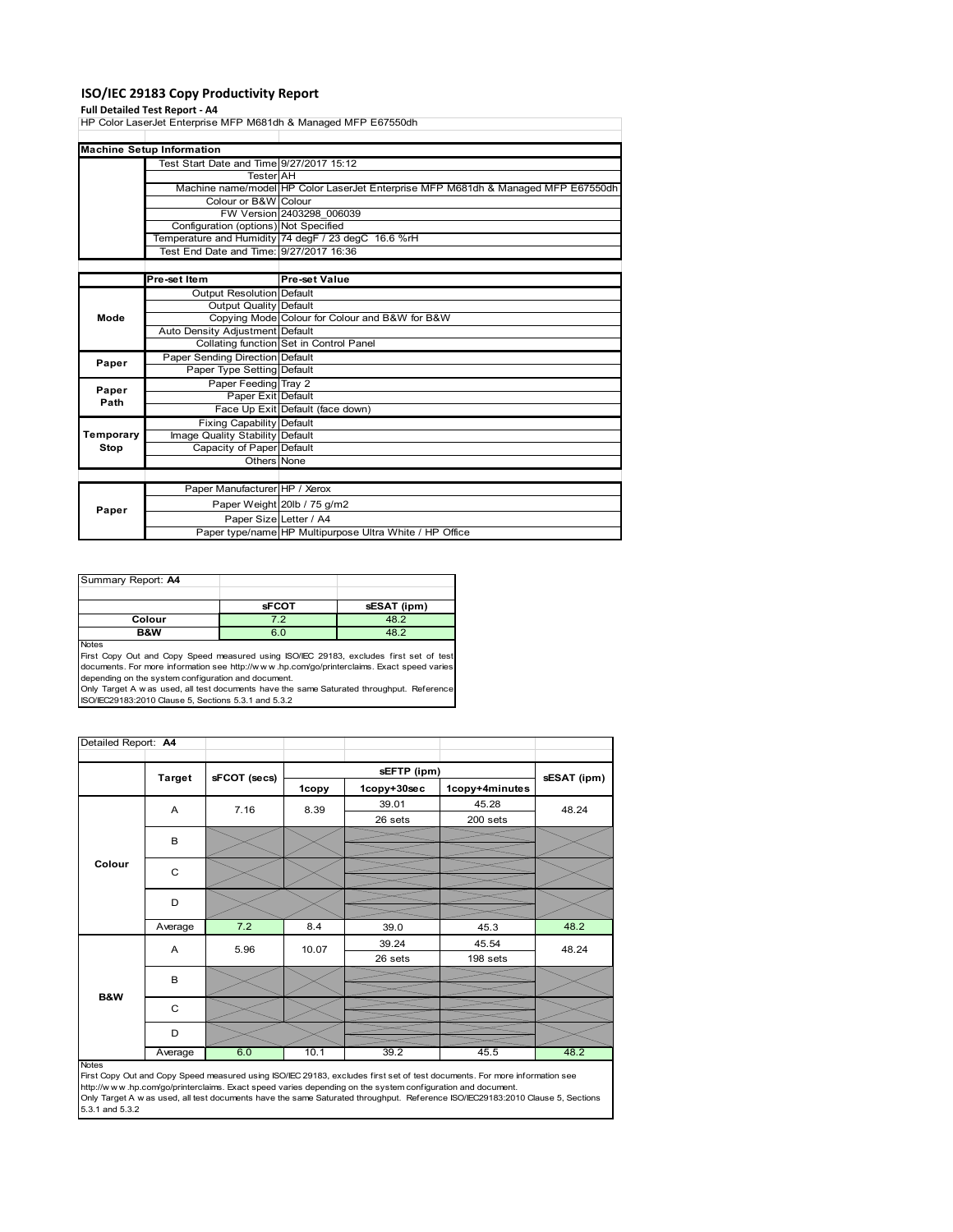## **ISO/IEC 29183 Copy Productivity Report**

**Full Detailed Test Report ‐ A4** HP Color LaserJet Enterprise MFP M681dh & Managed MFP E67550dh

|           | <b>Machine Setup Information</b>         |                                                                                   |
|-----------|------------------------------------------|-----------------------------------------------------------------------------------|
|           | Test Start Date and Time 9/27/2017 15:12 |                                                                                   |
|           | <b>Tester</b> AH                         |                                                                                   |
|           |                                          | Machine name/model HP Color LaserJet Enterprise MFP M681dh & Managed MFP E67550dh |
|           | Colour or B&W Colour                     |                                                                                   |
|           |                                          | FW Version 2403298 006039                                                         |
|           | Configuration (options) Not Specified    |                                                                                   |
|           |                                          | Temperature and Humidity 74 degF / 23 degC 16.6 %rH                               |
|           | Test End Date and Time: 9/27/2017 16:36  |                                                                                   |
|           |                                          |                                                                                   |
|           | Pre-set Item                             | Pre-set Value                                                                     |
|           | Output Resolution Default                |                                                                                   |
|           | <b>Output Quality Default</b>            |                                                                                   |
| Mode      |                                          | Copying Mode Colour for Colour and B&W for B&W                                    |
|           | Auto Density Adjustment Default          |                                                                                   |
|           |                                          | Collating function Set in Control Panel                                           |
|           | Paper Sending Direction Default          |                                                                                   |
| Paper     | Paper Type Setting Default               |                                                                                   |
|           | Paper Feeding Tray 2                     |                                                                                   |
| Paper     | Paper Exit Default                       |                                                                                   |
| Path      |                                          | Face Up Exit Default (face down)                                                  |
|           | <b>Fixing Capability Default</b>         |                                                                                   |
| Temporary | Image Quality Stability Default          |                                                                                   |
| Stop      | Capacity of Paper Default                |                                                                                   |
|           | Others None                              |                                                                                   |
|           |                                          |                                                                                   |
|           | Paper Manufacturer HP / Xerox            |                                                                                   |
|           |                                          | Paper Weight 20lb / 75 g/m2                                                       |
| Paper     | Paper Size Letter / A4                   |                                                                                   |
|           |                                          | Paper type/name HP Multipurpose Ultra White / HP Office                           |

| Summary Report: A4 |              |             |
|--------------------|--------------|-------------|
|                    |              |             |
|                    | <b>sFCOT</b> | sESAT (ipm) |
| Colour             | 7.2          | 48.2        |
| <b>B&amp;W</b>     | 6.0          | 182         |
| <b>Noton</b>       |              |             |

Notes<br>First Copy Out and Copy Speed measured using ISO/IEC 29183, excludes first set of test<br>documents. For more information see http://www..hp.com/go/printerclaims. Exact speed varies

depending on the system configuration and document.<br>Only Target A w as used, all test documents have the same Saturated throughput. Reference<br>ISO/IEC29183:2010 Clause 5, Sections 5.3.1 and 5.3.2

| Detailed Report: A4 |               |              |       |             |                |             |  |
|---------------------|---------------|--------------|-------|-------------|----------------|-------------|--|
|                     |               |              |       | sEFTP (ipm) |                |             |  |
|                     | <b>Target</b> | sFCOT (secs) | 1copy | 1copy+30sec | 1copy+4minutes | sESAT (ipm) |  |
|                     | A             | 7.16         | 8.39  | 39.01       | 45.28          | 48.24       |  |
|                     |               |              |       | 26 sets     | 200 sets       |             |  |
|                     | В             |              |       |             |                |             |  |
|                     |               |              |       |             |                |             |  |
| Colour              | C             |              |       |             |                |             |  |
|                     |               |              |       |             |                |             |  |
|                     | D             |              |       |             |                |             |  |
|                     |               |              |       |             |                |             |  |
|                     | Average       | 7.2          | 8.4   | 39.0        | 45.3           | 48.2        |  |
|                     |               | A<br>5.96    | 10.07 | 39.24       | 45.54          | 48.24       |  |
|                     |               |              |       | 26 sets     | 198 sets       |             |  |
|                     | B             |              |       |             |                |             |  |
| B&W                 |               |              |       |             |                |             |  |
|                     | C             |              |       |             |                |             |  |
|                     |               |              |       |             |                |             |  |
|                     | D             |              |       |             |                |             |  |
|                     | Average       | 6.0          | 10.1  | 39.2        | 45.5           | 48.2        |  |

Average 6.0 10.1 39.2 45.5 48.2<br>
First Copy Out and Copy Speed measured using ISO/IEC 29183, excludes first set of test documents. For more information see<br>
First://www.hp.com/go/printerclaims. Exact speed varies depending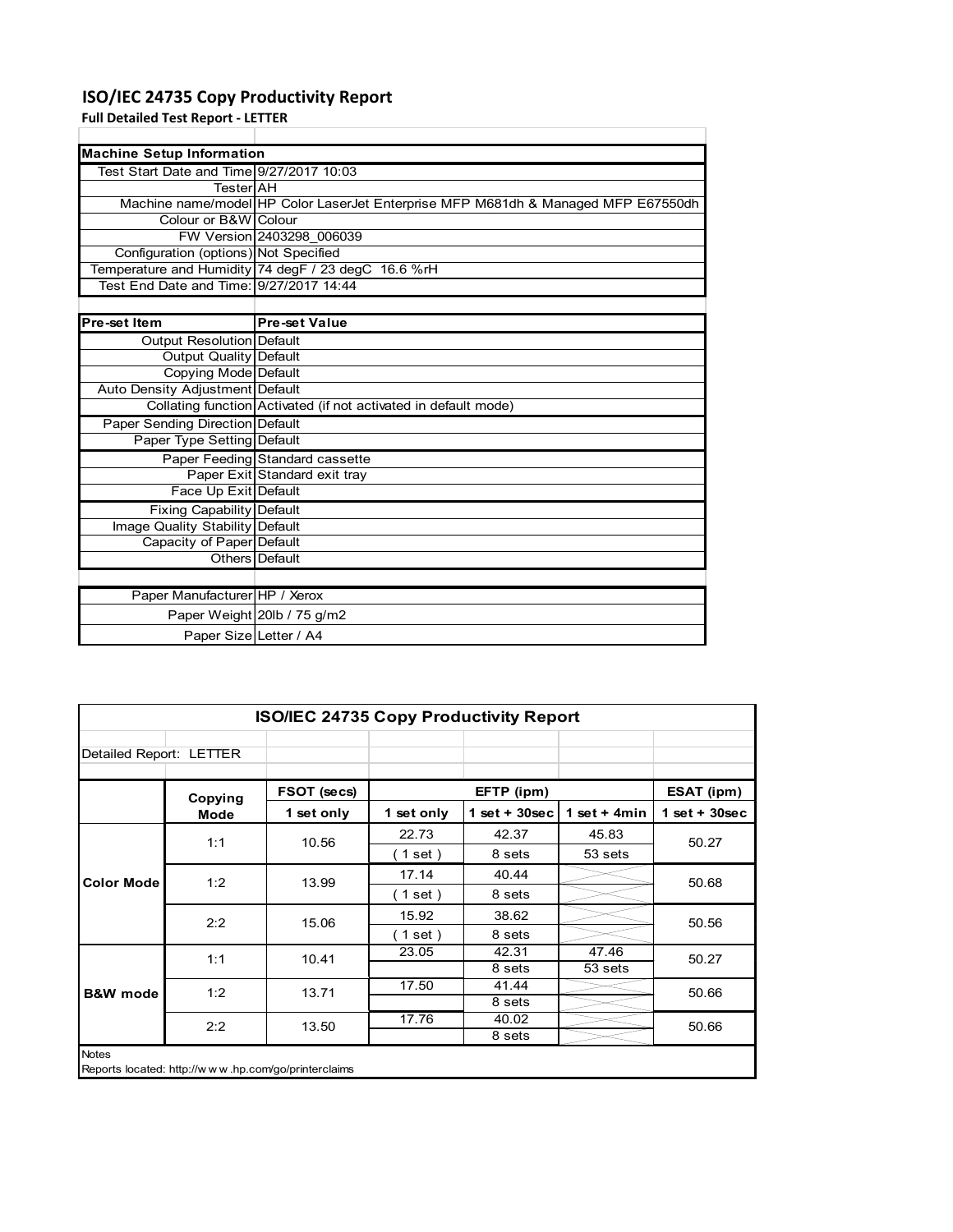# **ISO/IEC 24735 Copy Productivity Report**

**Full Detailed Test Report ‐ LETTER**

| <b>Machine Setup Information</b>         |                                                                                   |
|------------------------------------------|-----------------------------------------------------------------------------------|
| Test Start Date and Time 9/27/2017 10:03 |                                                                                   |
| TesterIAH                                |                                                                                   |
|                                          | Machine name/model HP Color LaserJet Enterprise MFP M681dh & Managed MFP E67550dh |
| Colour or B&W Colour                     |                                                                                   |
|                                          | FW Version 2403298 006039                                                         |
| Configuration (options) Not Specified    |                                                                                   |
|                                          | Temperature and Humidity 74 degF / 23 degC 16.6 %rH                               |
| Test End Date and Time: 9/27/2017 14:44  |                                                                                   |
|                                          |                                                                                   |

Ĩ.

| Pre-set Item                           | <b>Pre-set Value</b>                                            |
|----------------------------------------|-----------------------------------------------------------------|
| Output Resolution Default              |                                                                 |
| Output Quality Default                 |                                                                 |
| Copying Mode Default                   |                                                                 |
| Auto Density Adjustment Default        |                                                                 |
|                                        | Collating function Activated (if not activated in default mode) |
| <b>Paper Sending Direction Default</b> |                                                                 |
| Paper Type Setting Default             |                                                                 |
|                                        | Paper Feeding Standard cassette                                 |
|                                        | Paper Exit Standard exit tray                                   |
| Face Up Exit Default                   |                                                                 |
| <b>Fixing Capability Default</b>       |                                                                 |
| Image Quality Stability Default        |                                                                 |
| Capacity of Paper Default              |                                                                 |
|                                        | Others Default                                                  |
|                                        |                                                                 |
| Paper Manufacturer HP / Xerox          |                                                                 |
|                                        | Paper Weight 20lb / 75 g/m2                                     |
| Paper Size Letter / A4                 |                                                                 |

|                         |                                                     | <b>ISO/IEC 24735 Copy Productivity Report</b> |            |                 |                 |                 |  |
|-------------------------|-----------------------------------------------------|-----------------------------------------------|------------|-----------------|-----------------|-----------------|--|
| Detailed Report: LETTER |                                                     |                                               |            |                 |                 |                 |  |
|                         | Copying                                             | FSOT (secs)                                   |            | EFTP (ipm)      |                 | ESAT (ipm)      |  |
|                         | <b>Mode</b>                                         | 1 set only                                    | 1 set only | $1$ set + 30sec | 1 set + 4 $min$ | $1$ set + 30sec |  |
| <b>Color Mode</b>       | 1:1                                                 | 10.56                                         | 22.73      | 42.37           | 45.83           | 50.27           |  |
|                         |                                                     |                                               | (1 set)    | 8 sets          | 53 sets         |                 |  |
|                         | 1:2                                                 | 13.99                                         | 17.14      | 40.44           |                 | 50.68           |  |
|                         |                                                     |                                               | (1 set)    | 8 sets          |                 |                 |  |
|                         | 2:2                                                 | 15.06                                         | 15.92      | 38.62           |                 | 50.56           |  |
|                         |                                                     |                                               | (1 set)    | 8 sets          |                 |                 |  |
|                         | 1:1                                                 | 10.41                                         | 23.05      | 42.31           | 47.46           | 50.27           |  |
|                         |                                                     |                                               |            | 8 sets          | 53 sets         |                 |  |
| <b>B&amp;W</b> mode     | 1:2                                                 | 13.71                                         | 17.50      | 41.44           |                 | 50.66           |  |
|                         |                                                     |                                               |            | 8 sets          |                 |                 |  |
|                         | 2:2                                                 | 13.50                                         | 17.76      | 40.02           |                 | 50.66           |  |
|                         |                                                     |                                               |            | 8 sets          |                 |                 |  |
| <b>Notes</b>            | Reports located: http://www.hp.com/go/printerclaims |                                               |            |                 |                 |                 |  |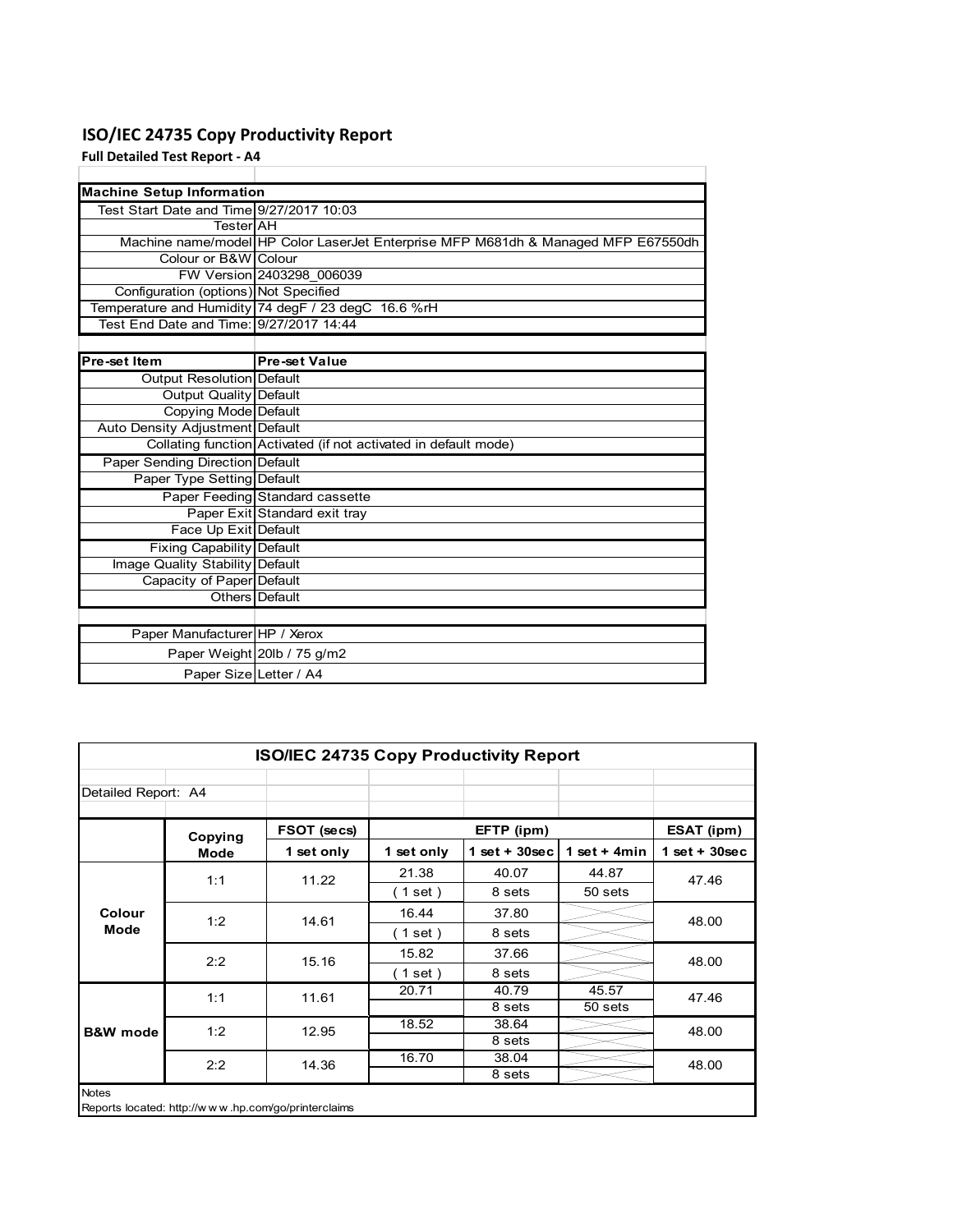# **ISO/IEC 24735 Copy Productivity Report**

**Full Detailed Test Report ‐ A4**

| <b>Machine Setup Information</b>         |                                                                                   |
|------------------------------------------|-----------------------------------------------------------------------------------|
| Test Start Date and Time 9/27/2017 10:03 |                                                                                   |
| TesterIAH                                |                                                                                   |
|                                          | Machine name/model HP Color LaserJet Enterprise MFP M681dh & Managed MFP E67550dh |
| Colour or B&W Colour                     |                                                                                   |
|                                          | FW Version 2403298 006039                                                         |
| Configuration (options) Not Specified    |                                                                                   |
|                                          | Temperature and Humidity 74 degF / 23 degC 16.6 %rH                               |
| Test End Date and Time: 9/27/2017 14:44  |                                                                                   |
|                                          |                                                                                   |
| Pre-set Item                             | <b>Pre-set Value</b>                                                              |
| <b>Output Resolution Default</b>         |                                                                                   |
| Output Quality Default                   |                                                                                   |
| Copying Mode Default                     |                                                                                   |
| Auto Density Adjustment Default          |                                                                                   |
|                                          | Collating function Activated (if not activated in default mode)                   |
| Paper Sending Direction Default          |                                                                                   |
| Paper Type Setting Default               |                                                                                   |
|                                          | Paper Feeding Standard cassette                                                   |
|                                          | Paper Exit Standard exit tray                                                     |
| Face Up Exit Default                     |                                                                                   |
| Fixing Capability Default                |                                                                                   |
| Image Quality Stability Default          |                                                                                   |
| Capacity of Paper Default                |                                                                                   |
|                                          | Others Default                                                                    |
|                                          |                                                                                   |
| Paper Manufacturer HP / Xerox            |                                                                                   |
|                                          | Paper Weight 20lb / 75 g/m2                                                       |
| Paper Size Letter / A4                   |                                                                                   |

÷.

| Detailed Report: A4 |             |             |              |                 |                 |                 |       |       |
|---------------------|-------------|-------------|--------------|-----------------|-----------------|-----------------|-------|-------|
|                     | Copying     | FSOT (secs) |              | EFTP (ipm)      |                 | ESAT (ipm)      |       |       |
|                     | <b>Mode</b> | 1 set only  | 1 set only   | $1$ set + 30sec | 1 set + 4 $min$ | $1$ set + 30sec |       |       |
|                     | 1:1         |             | 11.22        | 21.38           | 40.07           | 44.87           | 47.46 |       |
|                     |             |             | (1 set)      | 8 sets          | 50 sets         |                 |       |       |
| Colour<br>Mode      | 1:2         | 14.61       | 16.44        | 37.80           |                 | 48.00           |       |       |
|                     |             |             | (1 set)      | 8 sets          |                 |                 |       |       |
|                     | 2:2         | 15.16       | 15.82        | 37.66           |                 | 48.00           |       |       |
|                     |             |             | $1$ set)     | 8 sets          |                 |                 |       |       |
|                     |             |             | 1:1<br>11.61 |                 | 20.71           | 40.79           | 45.57 | 47.46 |
|                     |             |             |              | 8 sets          | 50 sets         |                 |       |       |
| <b>B&amp;W</b> mode | 1:2         | 12.95       | 18.52        | 38.64           |                 | 48.00           |       |       |
|                     |             |             |              | 8 sets          |                 |                 |       |       |
|                     | 2:2         | 14.36       | 16.70        | 38.04           |                 | 48.00           |       |       |
|                     |             |             |              | 8 sets          |                 |                 |       |       |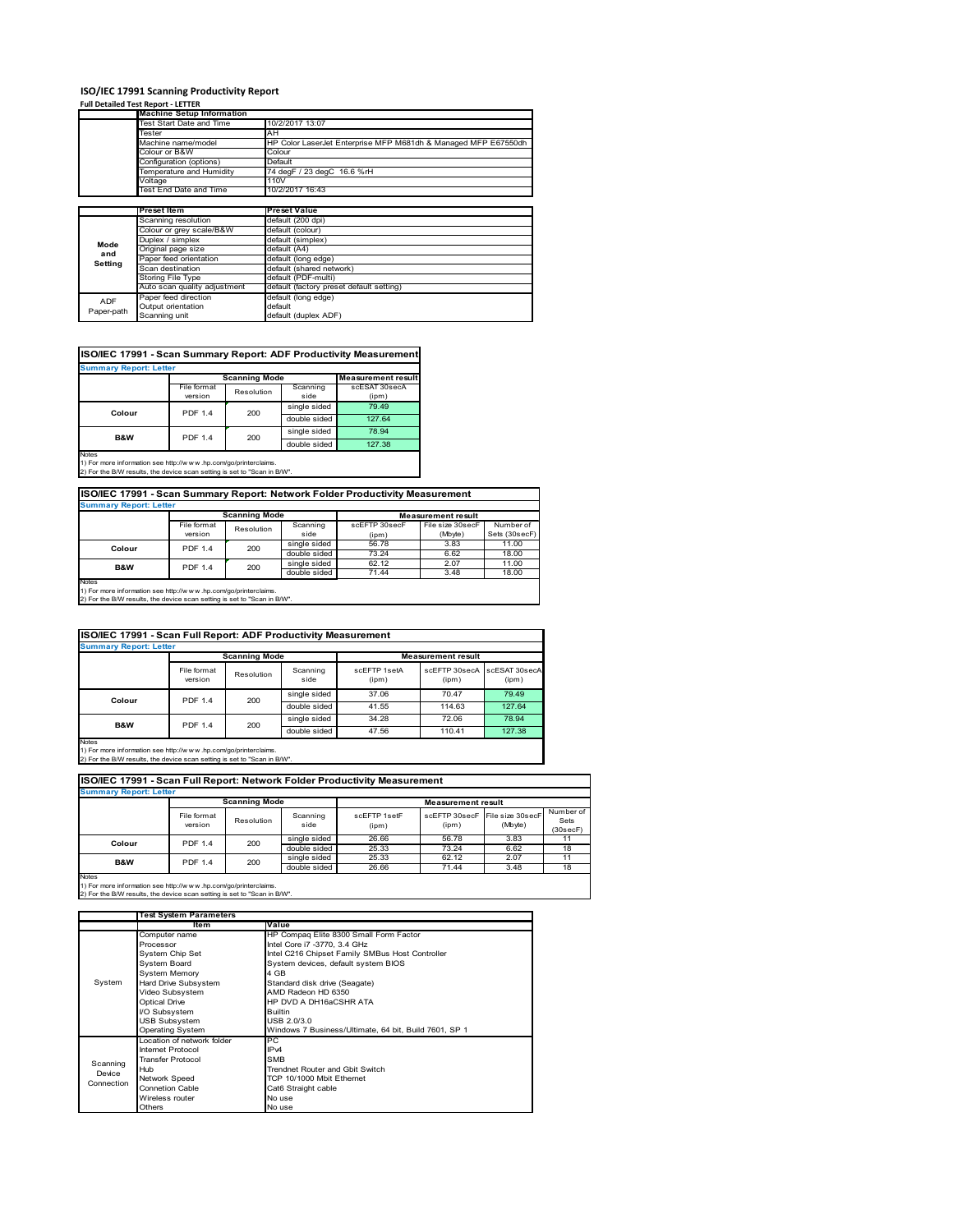# **ISO/IEC 17991 Scanning Productivity Report**

## **Full Detailed Test Report ‐ LETTER**

|            | <b>Machine Setup Information</b> |                                                                |
|------------|----------------------------------|----------------------------------------------------------------|
|            | Test Start Date and Time         | 10/2/2017 13:07                                                |
|            | Tester                           | AH                                                             |
|            | Machine name/model               | HP Color LaserJet Enterprise MFP M681dh & Managed MFP E67550dh |
|            | Colour or B&W                    | Colour                                                         |
|            | Configuration (options)          | Default                                                        |
|            | Temperature and Humidity         | 74 degF / 23 degC 16.6 %rH                                     |
|            | Voltage                          | 110V                                                           |
|            | Test End Date and Time           | 10/2/2017 16:43                                                |
|            |                                  |                                                                |
|            | <b>Preset Item</b>               | <b>Preset Value</b>                                            |
|            | Scanning resolution              | default (200 dpi)                                              |
|            | Colour or grey scale/B&W         | default (colour)                                               |
| Mode       | Duplex / simplex                 | default (simplex)                                              |
| and        | Original page size               | default (A4)                                                   |
| Setting    | Paper feed orientation           | default (long edge)                                            |
|            | Scan destination                 | default (shared network)                                       |
|            | Storing File Type                | default (PDF-multi)                                            |
|            | Auto scan quality adjustment     | default (factory preset default setting)                       |
| <b>ADF</b> | Paper feed direction             | default (long edge)                                            |
|            | Output orientation               | default                                                        |
| Paper-path | Scanning unit                    | default (duplex ADF)                                           |

# **ISO/IEC 17991 - Scan Summary Report: ADF Productivity Measurement**

|        |                           | <b>Scanning Mode</b> |              | <b>Measurement result</b> |
|--------|---------------------------|----------------------|--------------|---------------------------|
|        | File format<br>Resolution |                      | Scanning     | scESAT 30secA             |
|        | version                   |                      | side         | (ipm)                     |
|        | <b>PDF 1.4</b>            | 200                  | single sided | 79.49                     |
| Colour |                           |                      | double sided | 127.64                    |
| B&W    | <b>PDF 1.4</b>            | 200                  | single sided | 78.94                     |
|        |                           |                      | double sided | 127.38                    |

1) For more information see http://w w w .hp.com/go/printerclaims. 2) For the B/W results, the device scan setting is set to "Scan in B/W".

# **ISO/IEC 17991 - Scan Summary Report: Network Folder Productivity Measurement**

| <b>Summary Report: Letter</b> |                      |            |              |                           |                  |               |  |
|-------------------------------|----------------------|------------|--------------|---------------------------|------------------|---------------|--|
|                               | <b>Scanning Mode</b> |            |              | <b>Measurement result</b> |                  |               |  |
|                               | File format          | Resolution | Scanning     | scEFTP 30secF             | File size 30secF | Number of     |  |
|                               | version              |            | side         | (ipm)                     | (Mbyte)          | Sets (30secF) |  |
| Colour                        | <b>PDF 1.4</b>       | 200        | single sided | 56.78                     | 3.83             | 11.00         |  |
|                               |                      |            | double sided | 73.24                     | 6.62             | 18.00         |  |
| <b>B&amp;W</b>                | <b>PDF 1.4</b>       | 200        | single sided | 62.12                     | 2.07             | 11.00         |  |
|                               |                      |            | double sided | 71.44                     | 3.48             | 18.00         |  |
| Notes                         |                      |            |              |                           |                  |               |  |

Notes 1) For more information see http://w w w .hp.com/go/printerclaims. 2) For the B/W results, the device scan setting is set to "Scan in B/W".

|                               | ISO/IEC 17991 - Scan Full Report: ADF Productivity Measurement |                      |                  |                       |                           |                        |  |  |
|-------------------------------|----------------------------------------------------------------|----------------------|------------------|-----------------------|---------------------------|------------------------|--|--|
| <b>Summary Report: Letter</b> |                                                                |                      |                  |                       |                           |                        |  |  |
|                               |                                                                | <b>Scanning Mode</b> |                  |                       | <b>Measurement result</b> |                        |  |  |
|                               | File format<br>version                                         | Resolution           | Scanning<br>side | scEFTP 1setA<br>(ipm) | scEFTP 30secA<br>(ipm)    | scESAT 30secA<br>(ipm) |  |  |
| Colour                        | <b>PDF 1.4</b>                                                 | 200                  | single sided     | 37.06                 | 70.47                     | 79.49                  |  |  |
|                               |                                                                |                      | double sided     | 41.55                 | 114.63                    | 127.64                 |  |  |
|                               | <b>PDF 1.4</b>                                                 | 200                  | single sided     | 34.28                 | 72.06                     | 78.94                  |  |  |
| B&W                           |                                                                |                      | double sided     | 47.56                 | 110.41                    | 127.38                 |  |  |

Notes 1) For more information see http://w w w .hp.com/go/printerclaims. 2) For the B/W results, the device scan setting is set to "Scan in B/W".

| <b>Summary Report: Letter</b>                                                                                                                               |                        |                      |                  |                       |                           |                             |                               |
|-------------------------------------------------------------------------------------------------------------------------------------------------------------|------------------------|----------------------|------------------|-----------------------|---------------------------|-----------------------------|-------------------------------|
|                                                                                                                                                             |                        | <b>Scanning Mode</b> |                  |                       | <b>Measurement result</b> |                             |                               |
|                                                                                                                                                             | File format<br>version | Resolution           | Scanning<br>side | scFFTP 1setF<br>(ipm) | scFFTP 30secF<br>(ipm)    | File size 30secF<br>(Mbyte) | Number of<br>Sets<br>(30secF) |
| Colour                                                                                                                                                      | <b>PDF 1.4</b>         | 200                  | single sided     | 26.66                 | 56.78                     | 3.83                        | 11                            |
|                                                                                                                                                             |                        |                      | double sided     | 25.33                 | 73.24                     | 6.62                        | 18                            |
| <b>B&amp;W</b>                                                                                                                                              | <b>PDF 1.4</b>         | 200                  | single sided     | 25.33                 | 62.12                     | 2.07                        | 11                            |
|                                                                                                                                                             |                        |                      | double sided     | 26.66                 | 71.44                     | 3.48                        | 18                            |
| <b>Notes</b><br>1) For more information see http://www.hp.com/go/printerclaims.<br>2) For the B/W results, the device scan setting is set to "Scan in B/W". |                        |                      |                  |                       |                           |                             |                               |

|            | <b>Test System Parameters</b> |                                                       |  |  |  |
|------------|-------------------------------|-------------------------------------------------------|--|--|--|
|            | <b>Item</b>                   | Value                                                 |  |  |  |
|            | Computer name                 | HP Compaq Elite 8300 Small Form Factor                |  |  |  |
|            | Processor                     | Intel Core i7 -3770, 3.4 GHz                          |  |  |  |
|            | System Chip Set               | Intel C216 Chipset Family SMBus Host Controller       |  |  |  |
|            | <b>System Board</b>           | System devices, default system BIOS                   |  |  |  |
|            | <b>System Memory</b>          | 4 GB                                                  |  |  |  |
| System     | Hard Drive Subsystem          | Standard disk drive (Seagate)                         |  |  |  |
|            | Video Subsystem               | AMD Radeon HD 6350                                    |  |  |  |
|            | Optical Drive                 | HP DVD A DH16aCSHR ATA                                |  |  |  |
|            | I/O Subsystem                 | <b>Builtin</b>                                        |  |  |  |
|            | <b>USB Subsystem</b>          | USB 2.0/3.0                                           |  |  |  |
|            | Operating System              | Windows 7 Business/Ultimate, 64 bit, Build 7601, SP 1 |  |  |  |
|            | Location of network folder    | PC                                                    |  |  |  |
|            | Internet Protocol             | IP <sub>v4</sub>                                      |  |  |  |
| Scanning   | <b>Transfer Protocol</b>      | <b>SMB</b>                                            |  |  |  |
| Device     | Hub                           | Trendnet Router and Gbit Switch                       |  |  |  |
| Connection | Network Speed                 | TCP 10/1000 Mbit Ethernet                             |  |  |  |
|            | <b>Connetion Cable</b>        | Cat6 Straight cable                                   |  |  |  |
|            | Wireless router               | No use                                                |  |  |  |
|            | Others                        | No use                                                |  |  |  |